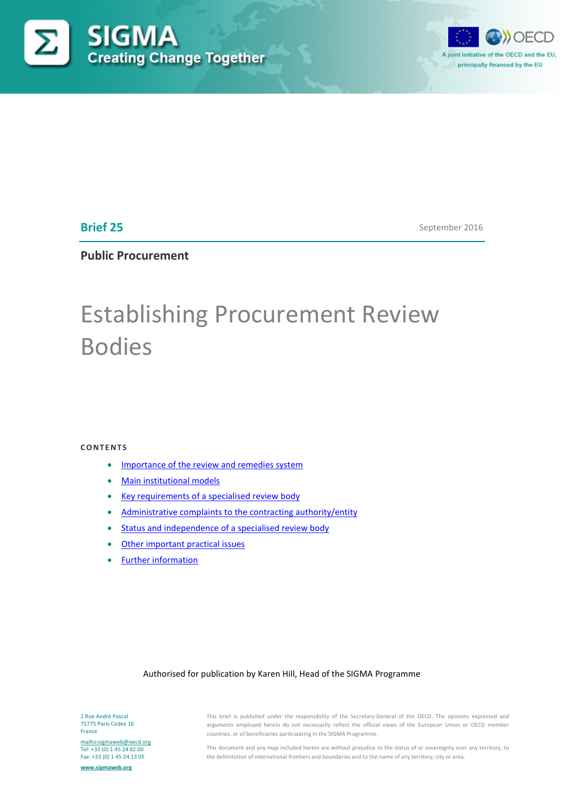



**Brief 25**

September 2016

**Public Procurement**

# Establishing Procurement Review Bodies

#### **CONTENTS**

- [Importance of the review and remedies system](#page-1-0)
- **[Main institutional models](#page-1-1)**
- [Key requirements of a specialised review body](#page-3-0)
- [Administrative complaints to the contracting authority/entity](#page-6-0)
- [Status and independence of a specialised review body](#page-6-1)
- [Other important practical issues](#page-9-0)
- [Further information](#page-13-0)

#### Authorised for publication by Karen Hill, Head of the SIGMA Programme

2 Rue André Pascal 75775 Paris Cedex 16 France

<mailto:sigmaweb@oecd.org> Tel: +33 (0) 1 45 24 82 00 Fax: +33 (0) 1 45 24 13 05

**[www.sigmaweb.org](http://www.sigmaweb.org/)**

This brief is published under the responsibility of the Secretary-General of the OECD. The opinions expressed and arguments employed herein do not necessarily reflect the official views of the European Union or OECD member countries, or of beneficiaries participating in the SIGMA Programme.

This document and any map included herein are without prejudice to the status of or sovereignty over any territory, to the delimitation of international frontiers and boundaries and to the name of any territory, city or area.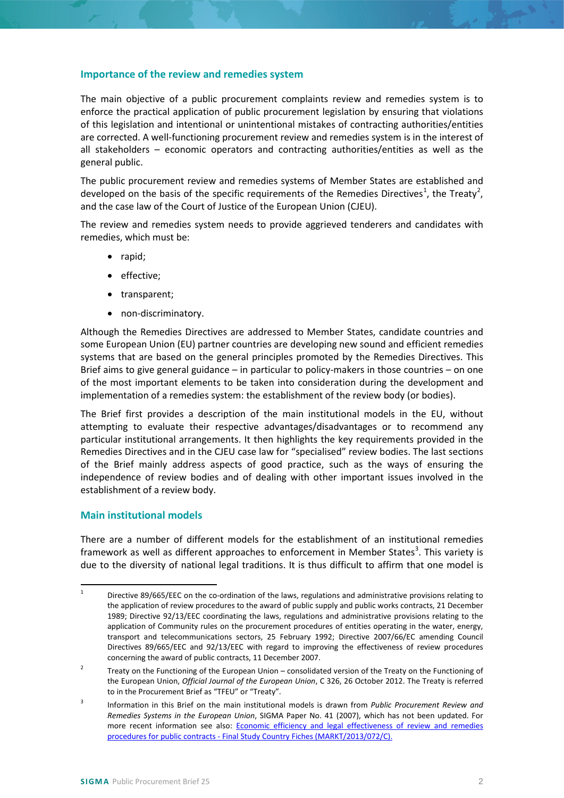### <span id="page-1-0"></span>**Importance of the review and remedies system**

The main objective of a public procurement complaints review and remedies system is to enforce the practical application of public procurement legislation by ensuring that violations of this legislation and intentional or unintentional mistakes of contracting authorities/entities are corrected. A well-functioning procurement review and remedies system is in the interest of all stakeholders – economic operators and contracting authorities/entities as well as the general public.

The public procurement review and remedies systems of Member States are established and developed on the basis of the specific requirements of the Remedies Directives<sup>[1](#page-1-2)</sup>, the Treaty<sup>[2](#page-1-3)</sup>, and the case law of the Court of Justice of the European Union (CJEU).

The review and remedies system needs to provide aggrieved tenderers and candidates with remedies, which must be:

- rapid;
- effective:
- transparent;
- non-discriminatory.

Although the Remedies Directives are addressed to Member States, candidate countries and some European Union (EU) partner countries are developing new sound and efficient remedies systems that are based on the general principles promoted by the Remedies Directives. This Brief aims to give general guidance – in particular to policy-makers in those countries – on one of the most important elements to be taken into consideration during the development and implementation of a remedies system: the establishment of the review body (or bodies).

The Brief first provides a description of the main institutional models in the EU, without attempting to evaluate their respective advantages/disadvantages or to recommend any particular institutional arrangements. It then highlights the key requirements provided in the Remedies Directives and in the CJEU case law for "specialised" review bodies. The last sections of the Brief mainly address aspects of good practice, such as the ways of ensuring the independence of review bodies and of dealing with other important issues involved in the establishment of a review body.

## <span id="page-1-1"></span>**Main institutional models**

There are a number of different models for the establishment of an institutional remedies framework as well as different approaches to enforcement in Member States<sup>[3](#page-1-4)</sup>. This variety is due to the diversity of national legal traditions. It is thus difficult to affirm that one model is

<span id="page-1-2"></span><sup>&</sup>lt;sup>1</sup> Directive 89/665/EEC on the co-ordination of the laws, regulations and administrative provisions relating to the application of review procedures to the award of public supply and public works contracts, 21 December 1989; Directive 92/13/EEC coordinating the laws, regulations and administrative provisions relating to the application of Community rules on the procurement procedures of entities operating in the water, energy, transport and telecommunications sectors, 25 February 1992; Directive 2007/66/EC amending Council Directives 89/665/EEC and 92/13/EEC with regard to improving the effectiveness of review procedures concerning the award of public contracts, 11 December 2007.

<span id="page-1-3"></span><sup>&</sup>lt;sup>2</sup> Treaty on the Functioning of the European Union – consolidated version of the Treaty on the Functioning of the European Union, *Official Journal of the European Union*, C 326, 26 October 2012. The Treaty is referred to in the Procurement Brief as "TFEU" or "Treaty".

<span id="page-1-4"></span><sup>3</sup> Information in this Brief on the main institutional models is drawn from *Public Procurement Review and Remedies Systems in the European Union*, SIGMA Paper No. 41 (2007), which has not been updated. For more recent information see also: Economic efficiency and legal effectiveness of review and remedies procedures for public contracts - [Final Study Country Fiches \(MARKT/2013/072/C\).](http://bookshop.europa.eu/en/economic-efficiency-and-legal-effectiveness-of-review-and-remedies-procedures-for-public-contracts-pbKM0414223/)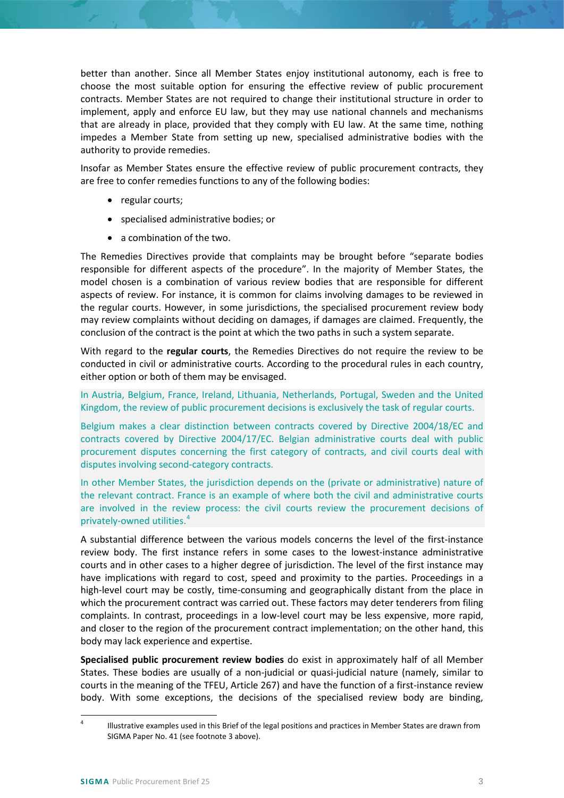better than another. Since all Member States enjoy institutional autonomy, each is free to choose the most suitable option for ensuring the effective review of public procurement contracts. Member States are not required to change their institutional structure in order to implement, apply and enforce EU law, but they may use national channels and mechanisms that are already in place, provided that they comply with EU law. At the same time, nothing impedes a Member State from setting up new, specialised administrative bodies with the authority to provide remedies.

Insofar as Member States ensure the effective review of public procurement contracts, they are free to confer remedies functions to any of the following bodies:

- regular courts;
- specialised administrative bodies; or
- a combination of the two.

The Remedies Directives provide that complaints may be brought before "separate bodies responsible for different aspects of the procedure". In the majority of Member States, the model chosen is a combination of various review bodies that are responsible for different aspects of review. For instance, it is common for claims involving damages to be reviewed in the regular courts. However, in some jurisdictions, the specialised procurement review body may review complaints without deciding on damages, if damages are claimed. Frequently, the conclusion of the contract is the point at which the two paths in such a system separate.

With regard to the **regular courts**, the Remedies Directives do not require the review to be conducted in civil or administrative courts. According to the procedural rules in each country, either option or both of them may be envisaged.

In Austria, Belgium, France, Ireland, Lithuania, Netherlands, Portugal, Sweden and the United Kingdom, the review of public procurement decisions is exclusively the task of regular courts.

Belgium makes a clear distinction between contracts covered by Directive 2004/18/EC and contracts covered by Directive 2004/17/EC. Belgian administrative courts deal with public procurement disputes concerning the first category of contracts, and civil courts deal with disputes involving second-category contracts.

In other Member States, the jurisdiction depends on the (private or administrative) nature of the relevant contract. France is an example of where both the civil and administrative courts are involved in the review process: the civil courts review the procurement decisions of privately-owned utilities.[4](#page-2-0)

A substantial difference between the various models concerns the level of the first-instance review body. The first instance refers in some cases to the lowest-instance administrative courts and in other cases to a higher degree of jurisdiction. The level of the first instance may have implications with regard to cost, speed and proximity to the parties. Proceedings in a high-level court may be costly, time-consuming and geographically distant from the place in which the procurement contract was carried out. These factors may deter tenderers from filing complaints. In contrast, proceedings in a low-level court may be less expensive, more rapid, and closer to the region of the procurement contract implementation; on the other hand, this body may lack experience and expertise.

**Specialised public procurement review bodies** do exist in approximately half of all Member States. These bodies are usually of a non-judicial or quasi-judicial nature (namely, similar to courts in the meaning of the TFEU, Article 267) and have the function of a first-instance review body. With some exceptions, the decisions of the specialised review body are binding,

<span id="page-2-0"></span><sup>&</sup>lt;sup>4</sup> Illustrative examples used in this Brief of the legal positions and practices in Member States are drawn from SIGMA Paper No. 41 (see footnote 3 above).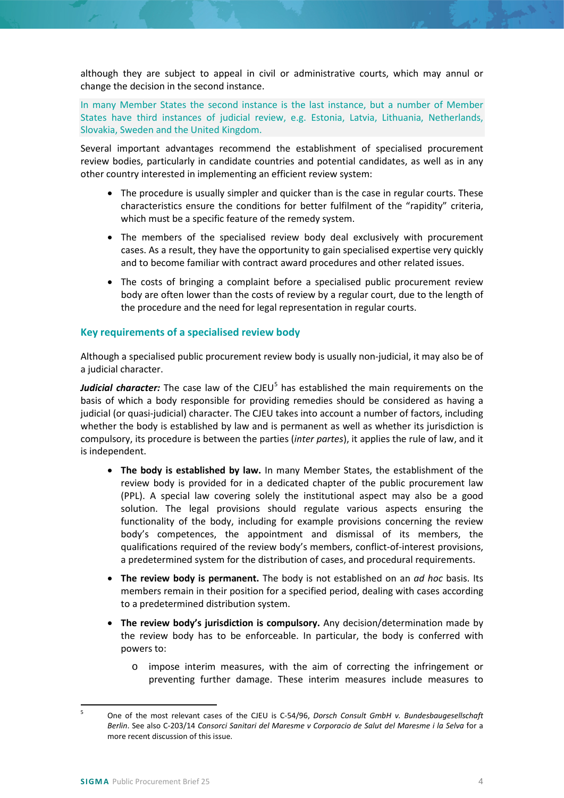although they are subject to appeal in civil or administrative courts, which may annul or change the decision in the second instance.

In many Member States the second instance is the last instance, but a number of Member States have third instances of judicial review, e.g. Estonia, Latvia, Lithuania, Netherlands, Slovakia, Sweden and the United Kingdom.

Several important advantages recommend the establishment of specialised procurement review bodies, particularly in candidate countries and potential candidates, as well as in any other country interested in implementing an efficient review system:

- The procedure is usually simpler and quicker than is the case in regular courts. These characteristics ensure the conditions for better fulfilment of the "rapidity" criteria, which must be a specific feature of the remedy system.
- The members of the specialised review body deal exclusively with procurement cases. As a result, they have the opportunity to gain specialised expertise very quickly and to become familiar with contract award procedures and other related issues.
- The costs of bringing a complaint before a specialised public procurement review body are often lower than the costs of review by a regular court, due to the length of the procedure and the need for legal representation in regular courts.

## <span id="page-3-0"></span>**Key requirements of a specialised review body**

Although a specialised public procurement review body is usually non-judicial, it may also be of a judicial character.

*Judicial character:* The case law of the CJEU<sup>[5](#page-3-1)</sup> has established the main requirements on the basis of which a body responsible for providing remedies should be considered as having a judicial (or quasi-judicial) character. The CJEU takes into account a number of factors, including whether the body is established by law and is permanent as well as whether its jurisdiction is compulsory, its procedure is between the parties (*inter partes*), it applies the rule of law, and it is independent.

- **The body is established by law.** In many Member States, the establishment of the review body is provided for in a dedicated chapter of the public procurement law (PPL). A special law covering solely the institutional aspect may also be a good solution. The legal provisions should regulate various aspects ensuring the functionality of the body, including for example provisions concerning the review body's competences, the appointment and dismissal of its members, the qualifications required of the review body's members, conflict-of-interest provisions, a predetermined system for the distribution of cases, and procedural requirements.
- **The review body is permanent.** The body is not established on an *ad hoc* basis. Its members remain in their position for a specified period, dealing with cases according to a predetermined distribution system.
- **The review body's jurisdiction is compulsory.** Any decision/determination made by the review body has to be enforceable. In particular, the body is conferred with powers to:
	- o impose interim measures, with the aim of correcting the infringement or preventing further damage. These interim measures include measures to

<span id="page-3-1"></span> <sup>5</sup> One of the most relevant cases of the CJEU is C-54/96, *Dorsch Consult GmbH v. Bundesbaugesellschaft Berlin*. See also C-203/14 *Consorci Sanitari del Maresme v Corporacio de Salut del Maresme i la Selva* for a more recent discussion of this issue.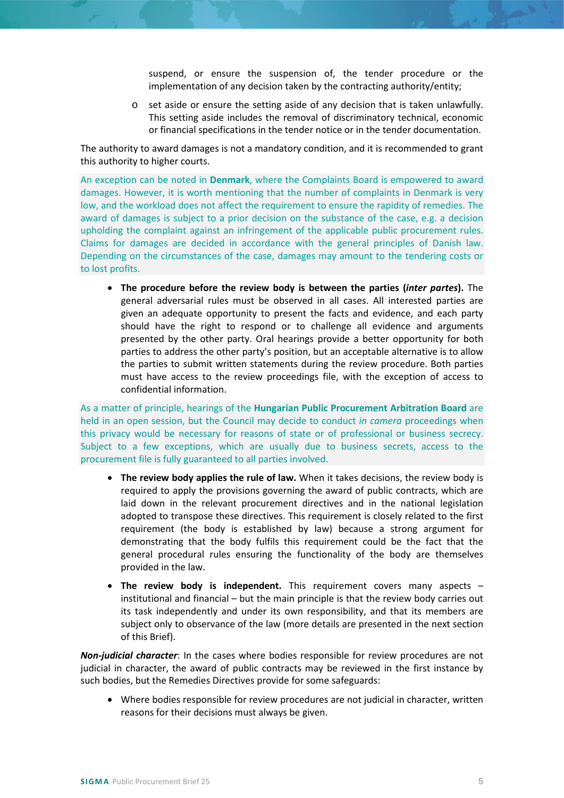suspend, or ensure the suspension of, the tender procedure or the implementation of any decision taken by the contracting authority/entity;

o set aside or ensure the setting aside of any decision that is taken unlawfully. This setting aside includes the removal of discriminatory technical, economic or financial specifications in the tender notice or in the tender documentation.

The authority to award damages is not a mandatory condition, and it is recommended to grant this authority to higher courts.

An exception can be noted in **Denmark**, where the Complaints Board is empowered to award damages. However, it is worth mentioning that the number of complaints in Denmark is very low, and the workload does not affect the requirement to ensure the rapidity of remedies. The award of damages is subject to a prior decision on the substance of the case, e.g. a decision upholding the complaint against an infringement of the applicable public procurement rules. Claims for damages are decided in accordance with the general principles of Danish law. Depending on the circumstances of the case, damages may amount to the tendering costs or to lost profits.

• **The procedure before the review body is between the parties (***inter partes***).** The general adversarial rules must be observed in all cases. All interested parties are given an adequate opportunity to present the facts and evidence, and each party should have the right to respond or to challenge all evidence and arguments presented by the other party. Oral hearings provide a better opportunity for both parties to address the other party's position, but an acceptable alternative is to allow the parties to submit written statements during the review procedure. Both parties must have access to the review proceedings file, with the exception of access to confidential information.

As a matter of principle, hearings of the **Hungarian Public Procurement Arbitration Board** are held in an open session, but the Council may decide to conduct *in camera* proceedings when this privacy would be necessary for reasons of state or of professional or business secrecy. Subject to a few exceptions, which are usually due to business secrets, access to the procurement file is fully guaranteed to all parties involved.

- **The review body applies the rule of law.** When it takes decisions, the review body is required to apply the provisions governing the award of public contracts, which are laid down in the relevant procurement directives and in the national legislation adopted to transpose these directives. This requirement is closely related to the first requirement (the body is established by law) because a strong argument for demonstrating that the body fulfils this requirement could be the fact that the general procedural rules ensuring the functionality of the body are themselves provided in the law.
- **The review body is independent.** This requirement covers many aspects institutional and financial – but the main principle is that the review body carries out its task independently and under its own responsibility, and that its members are subject only to observance of the law (more details are presented in the next section of this Brief).

*Non-judicial character*: In the cases where bodies responsible for review procedures are not judicial in character, the award of public contracts may be reviewed in the first instance by such bodies, but the Remedies Directives provide for some safeguards:

• Where bodies responsible for review procedures are not judicial in character, written reasons for their decisions must always be given.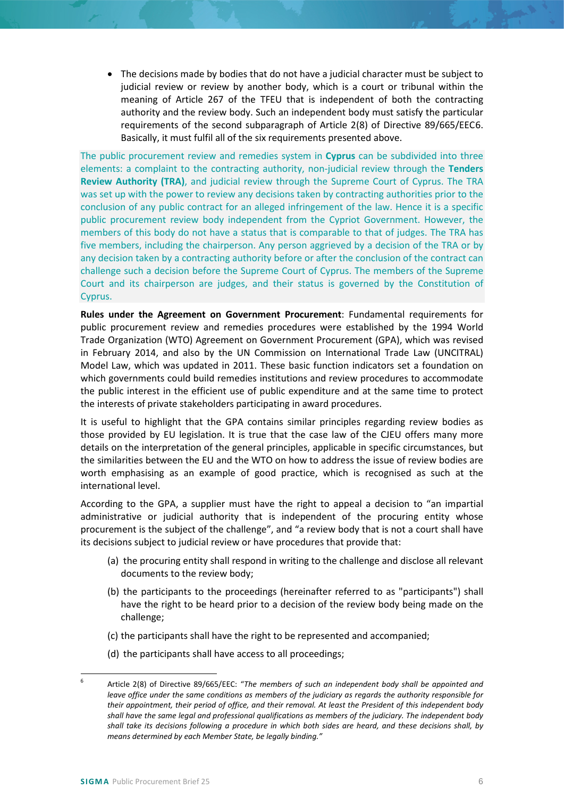• The decisions made by bodies that do not have a judicial character must be subject to judicial review or review by another body, which is a court or tribunal within the meaning of Article 267 of the TFEU that is independent of both the contracting authority and the review body. Such an independent body must satisfy the particular requirements of the second subparagraph of Article 2(8) of Directive 89/665/EEC[6.](#page-5-0) Basically, it must fulfil all of the six requirements presented above.

The public procurement review and remedies system in **Cyprus** can be subdivided into three elements: a complaint to the contracting authority, non-judicial review through the **Tenders Review Authority (TRA)**, and judicial review through the Supreme Court of Cyprus. The TRA was set up with the power to review any decisions taken by contracting authorities prior to the conclusion of any public contract for an alleged infringement of the law. Hence it is a specific public procurement review body independent from the Cypriot Government. However, the members of this body do not have a status that is comparable to that of judges. The TRA has five members, including the chairperson. Any person aggrieved by a decision of the TRA or by any decision taken by a contracting authority before or after the conclusion of the contract can challenge such a decision before the Supreme Court of Cyprus. The members of the Supreme Court and its chairperson are judges, and their status is governed by the Constitution of Cyprus.

**Rules under the Agreement on Government Procurement**: Fundamental requirements for public procurement review and remedies procedures were established by the 1994 World Trade Organization (WTO) Agreement on Government Procurement (GPA), which was revised in February 2014, and also by the UN Commission on International Trade Law (UNCITRAL) Model Law, which was updated in 2011. These basic function indicators set a foundation on which governments could build remedies institutions and review procedures to accommodate the public interest in the efficient use of public expenditure and at the same time to protect the interests of private stakeholders participating in award procedures.

It is useful to highlight that the GPA contains similar principles regarding review bodies as those provided by EU legislation. It is true that the case law of the CJEU offers many more details on the interpretation of the general principles, applicable in specific circumstances, but the similarities between the EU and the WTO on how to address the issue of review bodies are worth emphasising as an example of good practice, which is recognised as such at the international level.

According to the GPA, a supplier must have the right to appeal a decision to "an impartial administrative or judicial authority that is independent of the procuring entity whose procurement is the subject of the challenge", and "a review body that is not a court shall have its decisions subject to judicial review or have procedures that provide that:

- (a) the procuring entity shall respond in writing to the challenge and disclose all relevant documents to the review body;
- (b) the participants to the proceedings (hereinafter referred to as "participants") shall have the right to be heard prior to a decision of the review body being made on the challenge;
- (c) the participants shall have the right to be represented and accompanied;
- (d) the participants shall have access to all proceedings;

<span id="page-5-0"></span> <sup>6</sup> Article 2(8) of Directive 89/665/EEC: "*The members of such an independent body shall be appointed and leave office under the same conditions as members of the judiciary as regards the authority responsible for their appointment, their period of office, and their removal. At least the President of this independent body shall have the same legal and professional qualifications as members of the judiciary. The independent body shall take its decisions following a procedure in which both sides are heard, and these decisions shall, by means determined by each Member State, be legally binding."*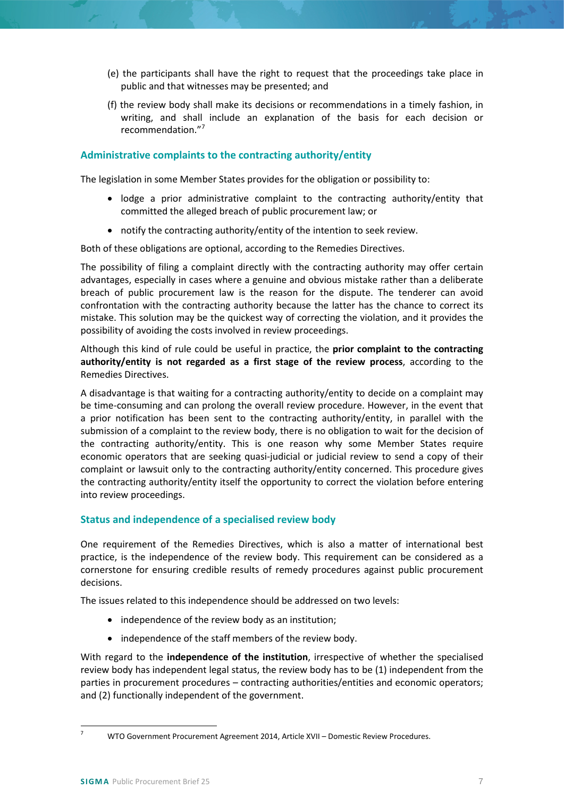- (e) the participants shall have the right to request that the proceedings take place in public and that witnesses may be presented; and
- (f) the review body shall make its decisions or recommendations in a timely fashion, in writing, and shall include an explanation of the basis for each decision or recommendation."[7](#page-6-2)

## <span id="page-6-0"></span>**Administrative complaints to the contracting authority/entity**

The legislation in some Member States provides for the obligation or possibility to:

- lodge a prior administrative complaint to the contracting authority/entity that committed the alleged breach of public procurement law; or
- notify the contracting authority/entity of the intention to seek review.

Both of these obligations are optional, according to the Remedies Directives.

The possibility of filing a complaint directly with the contracting authority may offer certain advantages, especially in cases where a genuine and obvious mistake rather than a deliberate breach of public procurement law is the reason for the dispute. The tenderer can avoid confrontation with the contracting authority because the latter has the chance to correct its mistake. This solution may be the quickest way of correcting the violation, and it provides the possibility of avoiding the costs involved in review proceedings.

Although this kind of rule could be useful in practice, the **prior complaint to the contracting authority/entity is not regarded as a first stage of the review process**, according to the Remedies Directives.

A disadvantage is that waiting for a contracting authority/entity to decide on a complaint may be time-consuming and can prolong the overall review procedure. However, in the event that a prior notification has been sent to the contracting authority/entity, in parallel with the submission of a complaint to the review body, there is no obligation to wait for the decision of the contracting authority/entity. This is one reason why some Member States require economic operators that are seeking quasi-judicial or judicial review to send a copy of their complaint or lawsuit only to the contracting authority/entity concerned. This procedure gives the contracting authority/entity itself the opportunity to correct the violation before entering into review proceedings.

## <span id="page-6-1"></span>**Status and independence of a specialised review body**

One requirement of the Remedies Directives, which is also a matter of international best practice, is the independence of the review body. This requirement can be considered as a cornerstone for ensuring credible results of remedy procedures against public procurement decisions.

The issues related to this independence should be addressed on two levels:

- independence of the review body as an institution;
- independence of the staff members of the review body.

With regard to the **independence of the institution**, irrespective of whether the specialised review body has independent legal status, the review body has to be (1) independent from the parties in procurement procedures – contracting authorities/entities and economic operators; and (2) functionally independent of the government.

<span id="page-6-2"></span> <sup>7</sup> WTO Government Procurement Agreement 2014, Article XVII – Domestic Review Procedures.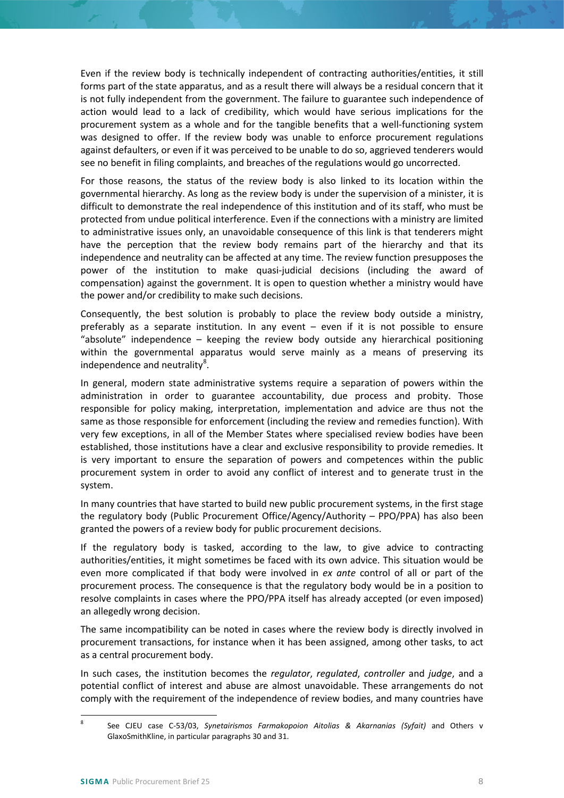Even if the review body is technically independent of contracting authorities/entities, it still forms part of the state apparatus, and as a result there will always be a residual concern that it is not fully independent from the government. The failure to guarantee such independence of action would lead to a lack of credibility, which would have serious implications for the procurement system as a whole and for the tangible benefits that a well-functioning system was designed to offer. If the review body was unable to enforce procurement regulations against defaulters, or even if it was perceived to be unable to do so, aggrieved tenderers would see no benefit in filing complaints, and breaches of the regulations would go uncorrected.

For those reasons, the status of the review body is also linked to its location within the governmental hierarchy. As long as the review body is under the supervision of a minister, it is difficult to demonstrate the real independence of this institution and of its staff, who must be protected from undue political interference. Even if the connections with a ministry are limited to administrative issues only, an unavoidable consequence of this link is that tenderers might have the perception that the review body remains part of the hierarchy and that its independence and neutrality can be affected at any time. The review function presupposes the power of the institution to make quasi-judicial decisions (including the award of compensation) against the government. It is open to question whether a ministry would have the power and/or credibility to make such decisions.

Consequently, the best solution is probably to place the review body outside a ministry, preferably as a separate institution. In any event – even if it is not possible to ensure "absolute" independence – keeping the review body outside any hierarchical positioning within the governmental apparatus would serve mainly as a means of preserving its independence and neutrality<sup>[8](#page-7-0)</sup>.

In general, modern state administrative systems require a separation of powers within the administration in order to guarantee accountability, due process and probity. Those responsible for policy making, interpretation, implementation and advice are thus not the same as those responsible for enforcement (including the review and remedies function). With very few exceptions, in all of the Member States where specialised review bodies have been established, those institutions have a clear and exclusive responsibility to provide remedies. It is very important to ensure the separation of powers and competences within the public procurement system in order to avoid any conflict of interest and to generate trust in the system.

In many countries that have started to build new public procurement systems, in the first stage the regulatory body (Public Procurement Office/Agency/Authority – PPO/PPA) has also been granted the powers of a review body for public procurement decisions.

If the regulatory body is tasked, according to the law, to give advice to contracting authorities/entities, it might sometimes be faced with its own advice. This situation would be even more complicated if that body were involved in *ex ante* control of all or part of the procurement process. The consequence is that the regulatory body would be in a position to resolve complaints in cases where the PPO/PPA itself has already accepted (or even imposed) an allegedly wrong decision.

The same incompatibility can be noted in cases where the review body is directly involved in procurement transactions, for instance when it has been assigned, among other tasks, to act as a central procurement body.

In such cases, the institution becomes the *regulator*, *regulated*, *controller* and *judge*, and a potential conflict of interest and abuse are almost unavoidable. These arrangements do not comply with the requirement of the independence of review bodies, and many countries have

<span id="page-7-0"></span> <sup>8</sup> See CJEU case C-53/03, *Synetairismos Farmakopoion Aitolias & Akarnanias (Syfait)* and Others v GlaxoSmithKline, in particular paragraphs 30 and 31.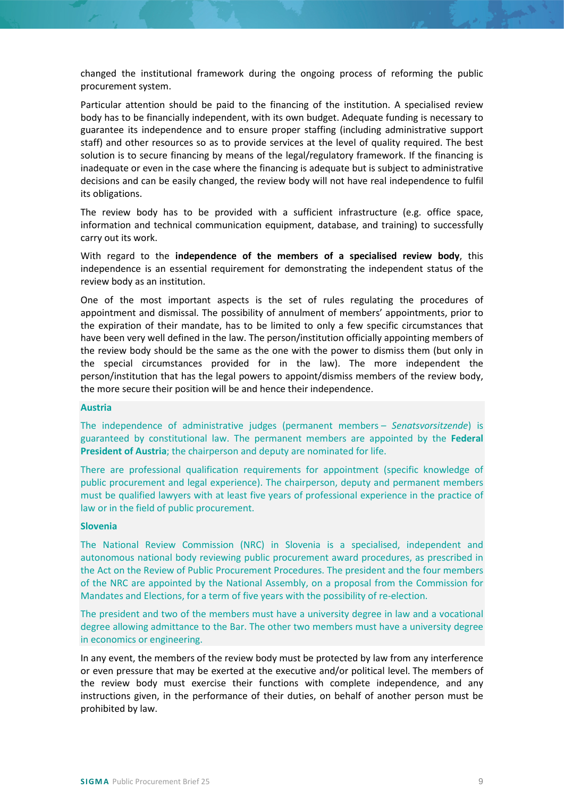changed the institutional framework during the ongoing process of reforming the public procurement system.

Particular attention should be paid to the financing of the institution. A specialised review body has to be financially independent, with its own budget. Adequate funding is necessary to guarantee its independence and to ensure proper staffing (including administrative support staff) and other resources so as to provide services at the level of quality required. The best solution is to secure financing by means of the legal/regulatory framework. If the financing is inadequate or even in the case where the financing is adequate but is subject to administrative decisions and can be easily changed, the review body will not have real independence to fulfil its obligations.

The review body has to be provided with a sufficient infrastructure (e.g. office space, information and technical communication equipment, database, and training) to successfully carry out its work.

With regard to the **independence of the members of a specialised review body**, this independence is an essential requirement for demonstrating the independent status of the review body as an institution.

One of the most important aspects is the set of rules regulating the procedures of appointment and dismissal. The possibility of annulment of members' appointments, prior to the expiration of their mandate, has to be limited to only a few specific circumstances that have been very well defined in the law. The person/institution officially appointing members of the review body should be the same as the one with the power to dismiss them (but only in the special circumstances provided for in the law). The more independent the person/institution that has the legal powers to appoint/dismiss members of the review body, the more secure their position will be and hence their independence.

#### **Austria**

The independence of administrative judges (permanent members – *Senatsvorsitzende*) is guaranteed by constitutional law. The permanent members are appointed by the **Federal President of Austria**; the chairperson and deputy are nominated for life.

There are professional qualification requirements for appointment (specific knowledge of public procurement and legal experience). The chairperson, deputy and permanent members must be qualified lawyers with at least five years of professional experience in the practice of law or in the field of public procurement.

#### **Slovenia**

The National Review Commission (NRC) in Slovenia is a specialised, independent and autonomous national body reviewing public procurement award procedures, as prescribed in the Act on the Review of Public Procurement Procedures. The president and the four members of the NRC are appointed by the National Assembly, on a proposal from the Commission for Mandates and Elections, for a term of five years with the possibility of re-election.

The president and two of the members must have a university degree in law and a vocational degree allowing admittance to the Bar. The other two members must have a university degree in economics or engineering.

In any event, the members of the review body must be protected by law from any interference or even pressure that may be exerted at the executive and/or political level. The members of the review body must exercise their functions with complete independence, and any instructions given, in the performance of their duties, on behalf of another person must be prohibited by law.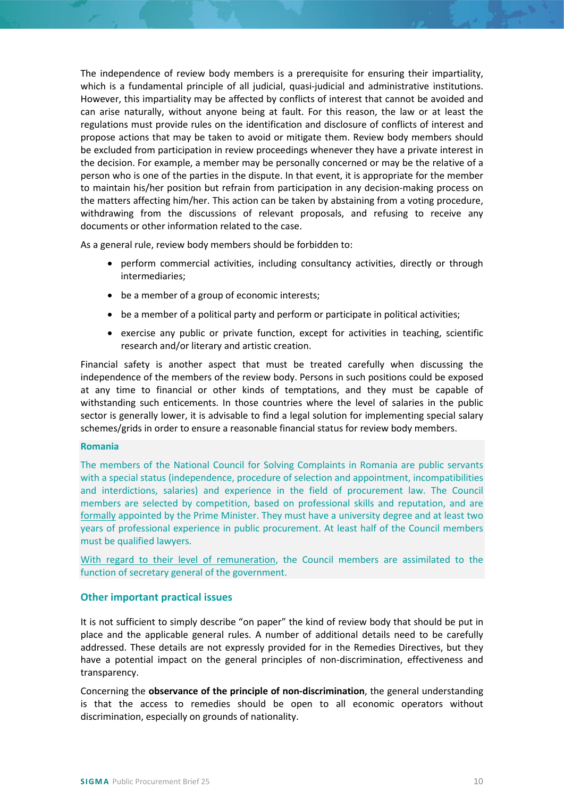The independence of review body members is a prerequisite for ensuring their impartiality, which is a fundamental principle of all judicial, quasi-judicial and administrative institutions. However, this impartiality may be affected by conflicts of interest that cannot be avoided and can arise naturally, without anyone being at fault. For this reason, the law or at least the regulations must provide rules on the identification and disclosure of conflicts of interest and propose actions that may be taken to avoid or mitigate them. Review body members should be excluded from participation in review proceedings whenever they have a private interest in the decision. For example, a member may be personally concerned or may be the relative of a person who is one of the parties in the dispute. In that event, it is appropriate for the member to maintain his/her position but refrain from participation in any decision-making process on the matters affecting him/her. This action can be taken by abstaining from a voting procedure, withdrawing from the discussions of relevant proposals, and refusing to receive any documents or other information related to the case.

As a general rule, review body members should be forbidden to:

- perform commercial activities, including consultancy activities, directly or through intermediaries;
- be a member of a group of economic interests;
- be a member of a political party and perform or participate in political activities;
- exercise any public or private function, except for activities in teaching, scientific research and/or literary and artistic creation.

Financial safety is another aspect that must be treated carefully when discussing the independence of the members of the review body. Persons in such positions could be exposed at any time to financial or other kinds of temptations, and they must be capable of withstanding such enticements. In those countries where the level of salaries in the public sector is generally lower, it is advisable to find a legal solution for implementing special salary schemes/grids in order to ensure a reasonable financial status for review body members.

## **Romania**

The members of the National Council for Solving Complaints in Romania are public servants with a special status (independence, procedure of selection and appointment, incompatibilities and interdictions, salaries) and experience in the field of procurement law. The Council members are selected by competition, based on professional skills and reputation, and are formally appointed by the Prime Minister. They must have a university degree and at least two years of professional experience in public procurement. At least half of the Council members must be qualified lawyers.

With regard to their level of remuneration, the Council members are assimilated to the function of secretary general of the government.

## <span id="page-9-0"></span>**Other important practical issues**

It is not sufficient to simply describe "on paper" the kind of review body that should be put in place and the applicable general rules. A number of additional details need to be carefully addressed. These details are not expressly provided for in the Remedies Directives, but they have a potential impact on the general principles of non-discrimination, effectiveness and transparency.

Concerning the **observance of the principle of non-discrimination**, the general understanding is that the access to remedies should be open to all economic operators without discrimination, especially on grounds of nationality.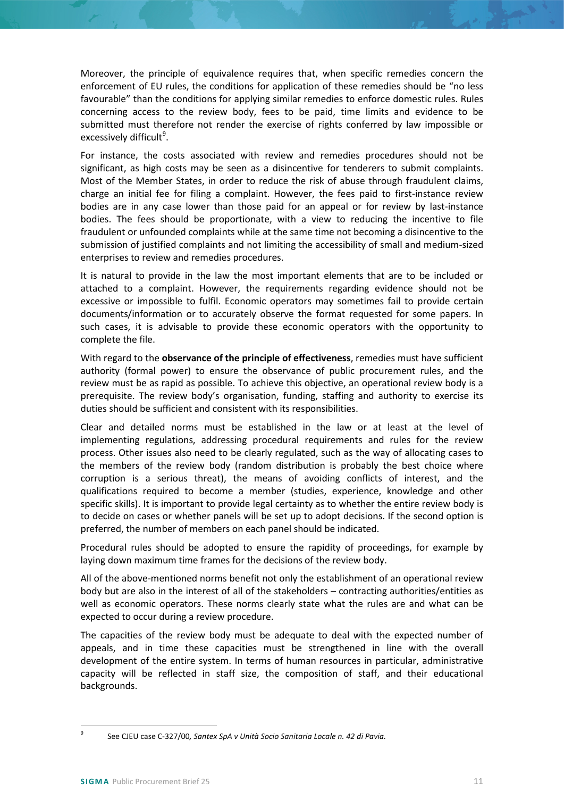Moreover, the principle of equivalence requires that, when specific remedies concern the enforcement of EU rules, the conditions for application of these remedies should be "no less favourable" than the conditions for applying similar remedies to enforce domestic rules. Rules concerning access to the review body, fees to be paid, time limits and evidence to be submitted must therefore not render the exercise of rights conferred by law impossible or excessively difficult<sup>[9](#page-10-0)</sup>.

For instance, the costs associated with review and remedies procedures should not be significant, as high costs may be seen as a disincentive for tenderers to submit complaints. Most of the Member States, in order to reduce the risk of abuse through fraudulent claims, charge an initial fee for filing a complaint. However, the fees paid to first-instance review bodies are in any case lower than those paid for an appeal or for review by last-instance bodies. The fees should be proportionate, with a view to reducing the incentive to file fraudulent or unfounded complaints while at the same time not becoming a disincentive to the submission of justified complaints and not limiting the accessibility of small and medium-sized enterprises to review and remedies procedures.

It is natural to provide in the law the most important elements that are to be included or attached to a complaint. However, the requirements regarding evidence should not be excessive or impossible to fulfil. Economic operators may sometimes fail to provide certain documents/information or to accurately observe the format requested for some papers. In such cases, it is advisable to provide these economic operators with the opportunity to complete the file.

With regard to the **observance of the principle of effectiveness**, remedies must have sufficient authority (formal power) to ensure the observance of public procurement rules, and the review must be as rapid as possible. To achieve this objective, an operational review body is a prerequisite. The review body's organisation, funding, staffing and authority to exercise its duties should be sufficient and consistent with its responsibilities.

Clear and detailed norms must be established in the law or at least at the level of implementing regulations, addressing procedural requirements and rules for the review process. Other issues also need to be clearly regulated, such as the way of allocating cases to the members of the review body (random distribution is probably the best choice where corruption is a serious threat), the means of avoiding conflicts of interest, and the qualifications required to become a member (studies, experience, knowledge and other specific skills). It is important to provide legal certainty as to whether the entire review body is to decide on cases or whether panels will be set up to adopt decisions. If the second option is preferred, the number of members on each panel should be indicated.

Procedural rules should be adopted to ensure the rapidity of proceedings, for example by laying down maximum time frames for the decisions of the review body.

All of the above-mentioned norms benefit not only the establishment of an operational review body but are also in the interest of all of the stakeholders – contracting authorities/entities as well as economic operators. These norms clearly state what the rules are and what can be expected to occur during a review procedure.

The capacities of the review body must be adequate to deal with the expected number of appeals, and in time these capacities must be strengthened in line with the overall development of the entire system. In terms of human resources in particular, administrative capacity will be reflected in staff size, the composition of staff, and their educational backgrounds.

<span id="page-10-0"></span> <sup>9</sup> See CJEU case C-327/00*, Santex SpA v Unità Socio Sanitaria Locale n. 42 di Pavia.*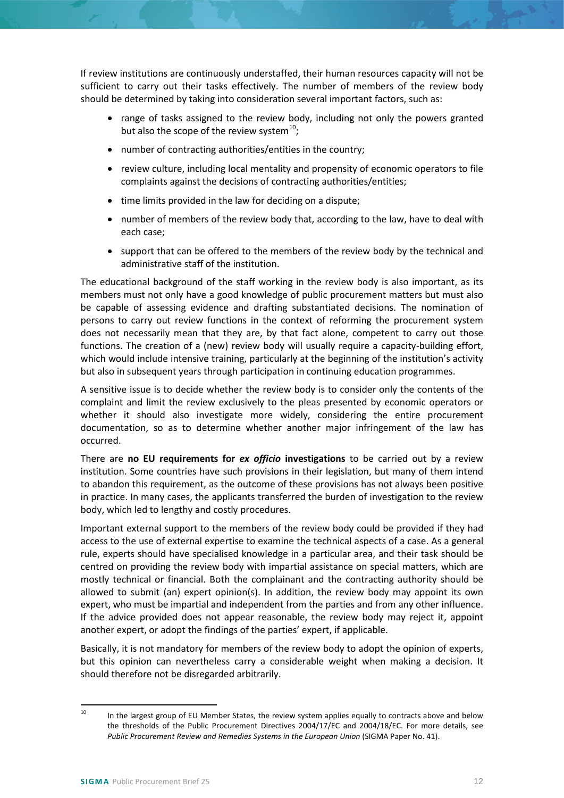If review institutions are continuously understaffed, their human resources capacity will not be sufficient to carry out their tasks effectively. The number of members of the review body should be determined by taking into consideration several important factors, such as:

- range of tasks assigned to the review body, including not only the powers granted but also the scope of the review system<sup>[10](#page-11-0)</sup>;
- number of contracting authorities/entities in the country;
- review culture, including local mentality and propensity of economic operators to file complaints against the decisions of contracting authorities/entities;
- time limits provided in the law for deciding on a dispute;
- number of members of the review body that, according to the law, have to deal with each case;
- support that can be offered to the members of the review body by the technical and administrative staff of the institution.

The educational background of the staff working in the review body is also important, as its members must not only have a good knowledge of public procurement matters but must also be capable of assessing evidence and drafting substantiated decisions. The nomination of persons to carry out review functions in the context of reforming the procurement system does not necessarily mean that they are, by that fact alone, competent to carry out those functions. The creation of a (new) review body will usually require a capacity-building effort, which would include intensive training, particularly at the beginning of the institution's activity but also in subsequent years through participation in continuing education programmes.

A sensitive issue is to decide whether the review body is to consider only the contents of the complaint and limit the review exclusively to the pleas presented by economic operators or whether it should also investigate more widely, considering the entire procurement documentation, so as to determine whether another major infringement of the law has occurred.

There are **no EU requirements for** *ex officio* **investigations** to be carried out by a review institution. Some countries have such provisions in their legislation, but many of them intend to abandon this requirement, as the outcome of these provisions has not always been positive in practice. In many cases, the applicants transferred the burden of investigation to the review body, which led to lengthy and costly procedures.

Important external support to the members of the review body could be provided if they had access to the use of external expertise to examine the technical aspects of a case. As a general rule, experts should have specialised knowledge in a particular area, and their task should be centred on providing the review body with impartial assistance on special matters, which are mostly technical or financial. Both the complainant and the contracting authority should be allowed to submit (an) expert opinion(s). In addition, the review body may appoint its own expert, who must be impartial and independent from the parties and from any other influence. If the advice provided does not appear reasonable, the review body may reject it, appoint another expert, or adopt the findings of the parties' expert, if applicable.

Basically, it is not mandatory for members of the review body to adopt the opinion of experts, but this opinion can nevertheless carry a considerable weight when making a decision. It should therefore not be disregarded arbitrarily.

<span id="page-11-0"></span><sup>&</sup>lt;sup>10</sup> In the largest group of EU Member States, the review system applies equally to contracts above and below the thresholds of the Public Procurement Directives 2004/17/EC and 2004/18/EC. For more details, see *Public Procurement Review and Remedies Systems in the European Union* (SIGMA Paper No. 41).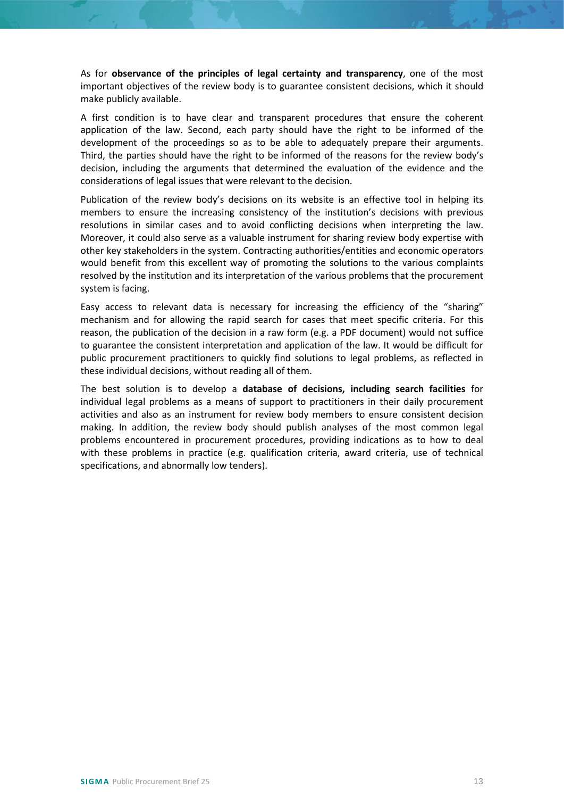As for **observance of the principles of legal certainty and transparency**, one of the most important objectives of the review body is to guarantee consistent decisions, which it should make publicly available.

A first condition is to have clear and transparent procedures that ensure the coherent application of the law. Second, each party should have the right to be informed of the development of the proceedings so as to be able to adequately prepare their arguments. Third, the parties should have the right to be informed of the reasons for the review body's decision, including the arguments that determined the evaluation of the evidence and the considerations of legal issues that were relevant to the decision.

Publication of the review body's decisions on its website is an effective tool in helping its members to ensure the increasing consistency of the institution's decisions with previous resolutions in similar cases and to avoid conflicting decisions when interpreting the law. Moreover, it could also serve as a valuable instrument for sharing review body expertise with other key stakeholders in the system. Contracting authorities/entities and economic operators would benefit from this excellent way of promoting the solutions to the various complaints resolved by the institution and its interpretation of the various problems that the procurement system is facing.

Easy access to relevant data is necessary for increasing the efficiency of the "sharing" mechanism and for allowing the rapid search for cases that meet specific criteria. For this reason, the publication of the decision in a raw form (e.g. a PDF document) would not suffice to guarantee the consistent interpretation and application of the law. It would be difficult for public procurement practitioners to quickly find solutions to legal problems, as reflected in these individual decisions, without reading all of them.

The best solution is to develop a **database of decisions, including search facilities** for individual legal problems as a means of support to practitioners in their daily procurement activities and also as an instrument for review body members to ensure consistent decision making. In addition, the review body should publish analyses of the most common legal problems encountered in procurement procedures, providing indications as to how to deal with these problems in practice (e.g. qualification criteria, award criteria, use of technical specifications, and abnormally low tenders).